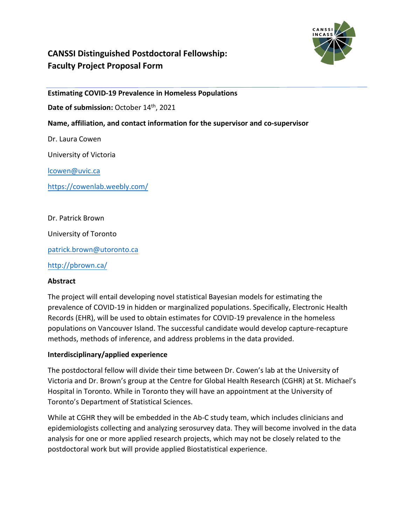

# **CANSSI Distinguished Postdoctoral Fellowship: Faculty Project Proposal Form**

#### **Estimating COVID-19 Prevalence in Homeless Populations**

Date of submission: October 14<sup>th</sup>, 2021

#### **Name, affiliation, and contact information for the supervisor and co-supervisor**

Dr. Laura Cowen

University of Victoria

[lcowen@uvic.ca](mailto:lcowen@uvic.ca)

<https://cowenlab.weebly.com/>

Dr. Patrick Brown

University of Toronto

[patrick.brown@utoronto.ca](mailto:patrick.brown@utoronto.ca)

<http://pbrown.ca/>

#### **Abstract**

The project will entail developing novel statistical Bayesian models for estimating the prevalence of COVID-19 in hidden or marginalized populations. Specifically, Electronic Health Records (EHR), will be used to obtain estimates for COVID-19 prevalence in the homeless populations on Vancouver Island. The successful candidate would develop capture-recapture methods, methods of inference, and address problems in the data provided.

#### **Interdisciplinary/applied experience**

The postdoctoral fellow will divide their time between Dr. Cowen's lab at the University of Victoria and Dr. Brown's group at the Centre for Global Health Research (CGHR) at St. Michael's Hospital in Toronto. While in Toronto they will have an appointment at the University of Toronto's Department of Statistical Sciences.

While at CGHR they will be embedded in the Ab-C study team, which includes clinicians and epidemiologists collecting and analyzing serosurvey data. They will become involved in the data analysis for one or more applied research projects, which may not be closely related to the postdoctoral work but will provide applied Biostatistical experience.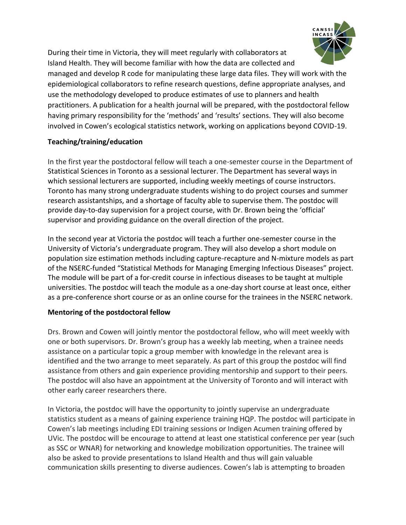

During their time in Victoria, they will meet regularly with collaborators at Island Health. They will become familiar with how the data are collected and

managed and develop R code for manipulating these large data files. They will work with the epidemiological collaborators to refine research questions, define appropriate analyses, and use the methodology developed to produce estimates of use to planners and health practitioners. A publication for a health journal will be prepared, with the postdoctoral fellow having primary responsibility for the 'methods' and 'results' sections. They will also become involved in Cowen's ecological statistics network, working on applications beyond COVID-19.

## **Teaching/training/education**

In the first year the postdoctoral fellow will teach a one-semester course in the Department of Statistical Sciences in Toronto as a sessional lecturer. The Department has several ways in which sessional lecturers are supported, including weekly meetings of course instructors. Toronto has many strong undergraduate students wishing to do project courses and summer research assistantships, and a shortage of faculty able to supervise them. The postdoc will provide day-to-day supervision for a project course, with Dr. Brown being the 'official' supervisor and providing guidance on the overall direction of the project.

In the second year at Victoria the postdoc will teach a further one-semester course in the University of Victoria's undergraduate program. They will also develop a short module on population size estimation methods including capture-recapture and N-mixture models as part of the NSERC-funded "Statistical Methods for Managing Emerging Infectious Diseases" project. The module will be part of a for-credit course in infectious diseases to be taught at multiple universities. The postdoc will teach the module as a one-day short course at least once, either as a pre-conference short course or as an online course for the trainees in the NSERC network.

#### **Mentoring of the postdoctoral fellow**

Drs. Brown and Cowen will jointly mentor the postdoctoral fellow, who will meet weekly with one or both supervisors. Dr. Brown's group has a weekly lab meeting, when a trainee needs assistance on a particular topic a group member with knowledge in the relevant area is identified and the two arrange to meet separately. As part of this group the postdoc will find assistance from others and gain experience providing mentorship and support to their peers. The postdoc will also have an appointment at the University of Toronto and will interact with other early career researchers there.

In Victoria, the postdoc will have the opportunity to jointly supervise an undergraduate statistics student as a means of gaining experience training HQP. The postdoc will participate in Cowen's lab meetings including EDI training sessions or Indigen Acumen training offered by UVic. The postdoc will be encourage to attend at least one statistical conference per year (such as SSC or WNAR) for networking and knowledge mobilization opportunities. The trainee will also be asked to provide presentations to Island Health and thus will gain valuable communication skills presenting to diverse audiences. Cowen's lab is attempting to broaden